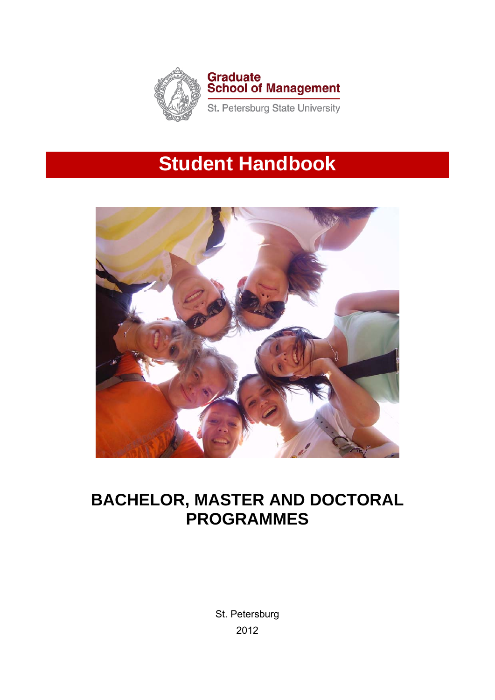

# **Student Handbook**



# **BACHELOR, MASTER AND DOCTORAL PROGRAMMES**

St. Petersburg 2012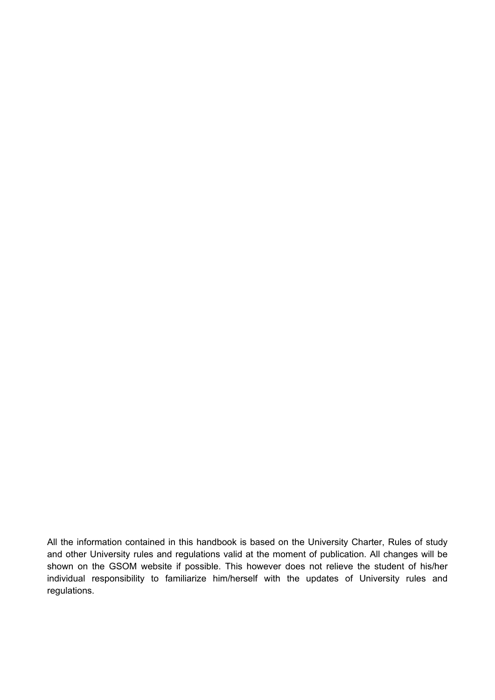All the information contained in this handbook is based on the University Charter, Rules of study and other University rules and regulations valid at the moment of publication. All changes will be shown on the GSOM website if possible. This however does not relieve the student of his/her individual responsibility to familiarize him/herself with the updates of University rules and regulations.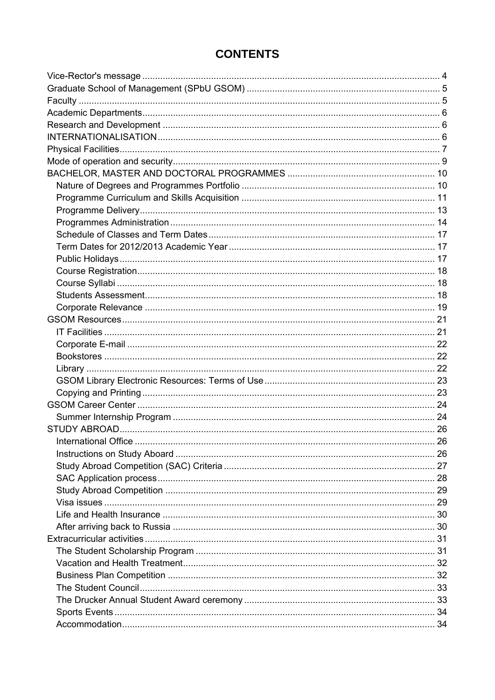# **CONTENTS**

| International Office | 26 |
|----------------------|----|
|                      |    |
|                      |    |
|                      |    |
|                      |    |
|                      |    |
|                      |    |
|                      |    |
|                      |    |
|                      |    |
|                      |    |
|                      |    |
|                      |    |
|                      |    |
|                      |    |
|                      |    |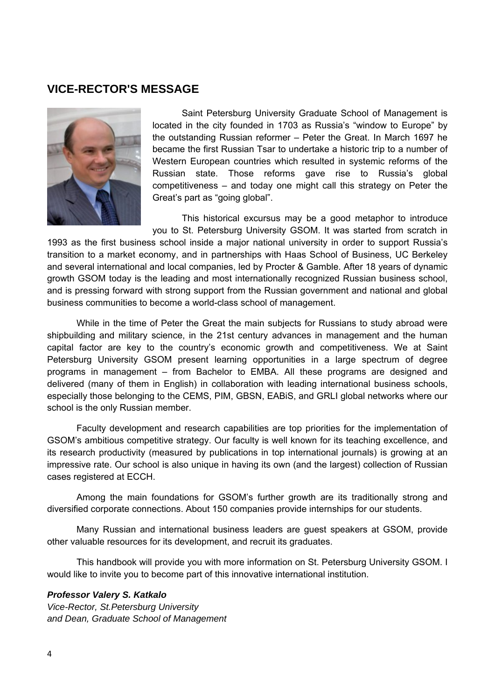#### **VICE-RECTOR'S MESSAGE**



Saint Petersburg University Graduate School of Management is located in the city founded in 1703 as Russia's "window to Europe" by the outstanding Russian reformer – Peter the Great. In March 1697 he became the first Russian Tsar to undertake a historic trip to a number of Western European countries which resulted in systemic reforms of the Russian state. Those reforms gave rise to Russia's global competitiveness – and today one might call this strategy on Peter the Great's part as "going global".

This historical excursus may be a good metaphor to introduce you to St. Petersburg University GSOM. It was started from scratch in

1993 as the first business school inside a major national university in order to support Russia's transition to a market economy, and in partnerships with Haas School of Business, UC Berkeley and several international and local companies, led by Procter & Gamble. After 18 years of dynamic growth GSOM today is the leading and most internationally recognized Russian business school, and is pressing forward with strong support from the Russian government and national and global business communities to become a world-class school of management.

While in the time of Peter the Great the main subjects for Russians to study abroad were shipbuilding and military science, in the 21st century advances in management and the human capital factor are key to the country's economic growth and competitiveness. We at Saint Petersburg University GSOM present learning opportunities in a large spectrum of degree programs in management – from Bachelor to EMBA. All these programs are designed and delivered (many of them in English) in collaboration with leading international business schools, especially those belonging to the CEMS, PIM, GBSN, EABiS, and GRLI global networks where our school is the only Russian member.

Faculty development and research capabilities are top priorities for the implementation of GSOM's ambitious competitive strategy. Our faculty is well known for its teaching excellence, and its research productivity (measured by publications in top international journals) is growing at an impressive rate. Our school is also unique in having its own (and the largest) collection of Russian cases registered at ECCH.

Among the main foundations for GSOM's further growth are its traditionally strong and diversified corporate connections. About 150 companies provide internships for our students.

Many Russian and international business leaders are guest speakers at GSOM, provide other valuable resources for its development, and recruit its graduates.

This handbook will provide you with more information on St. Petersburg University GSOM. I would like to invite you to become part of this innovative international institution.

#### *Professor Valery S. Katkalo*

*Vice-Rector, St.Petersburg University and Dean, Graduate School of Management*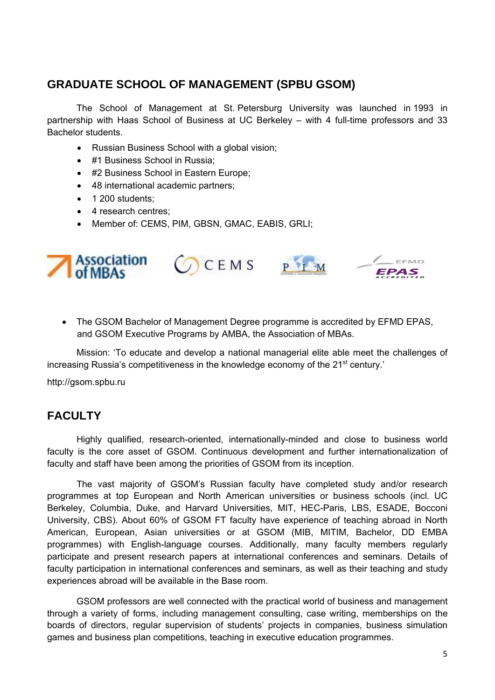# **GRADUATE SCHOOL OF MANAGEMENT (SPBU GSOM)**

The School of Management at St. Petersburg University was launched in 1993 in partnership with Haas School of Business at UC Berkeley – with 4 full-time professors and 33 Bachelor students.

- Russian Business School with a global vision;
- #1 Business School in Russia;
- #2 Business School in Eastern Europe;
- 48 international academic partners;
- 1 200 students:
- 4 research centres;
- Member of: CEMS, PIM, GBSN, GMAC, EABIS, GRLI;









• The GSOM Bachelor of Management Degree programme is accredited by EFMD EPAS, and GSOM Executive Programs by AMBA, the Association of MBAs.

Mission: 'To educate and develop a national managerial elite able meet the challenges of increasing Russia's competitiveness in the knowledge economy of the 21<sup>st</sup> century.'

http://gsom.spbu.ru

# **FACULTY**

Highly qualified, research-oriented, internationally-minded and close to business world faculty is the core asset of GSOM. Continuous development and further internationalization of faculty and staff have been among the priorities of GSOM from its inception.

The vast majority of GSOM's Russian faculty have completed study and/or research programmes at top European and North American universities or business schools (incl. UC Berkeley, Columbia, Duke, and Harvard Universities, MIT, HEC-Paris, LBS, ESADE, Bocconi University, CBS). About 60% of GSOM FT faculty have experience of teaching abroad in North American, European, Asian universities or at GSOM (MIB, MITIM, Bachelor, DD EMBA programmes) with English-language courses. Additionally, many faculty members regularly participate and present research papers at international conferences and seminars. Details of faculty participation in international conferences and seminars, as well as their teaching and study experiences abroad will be available in the Base room.

GSOM professors are well connected with the practical world of business and management through a variety of forms, including management consulting, case writing, memberships on the boards of directors, regular supervision of students' projects in companies, business simulation games and business plan competitions, teaching in executive education programmes.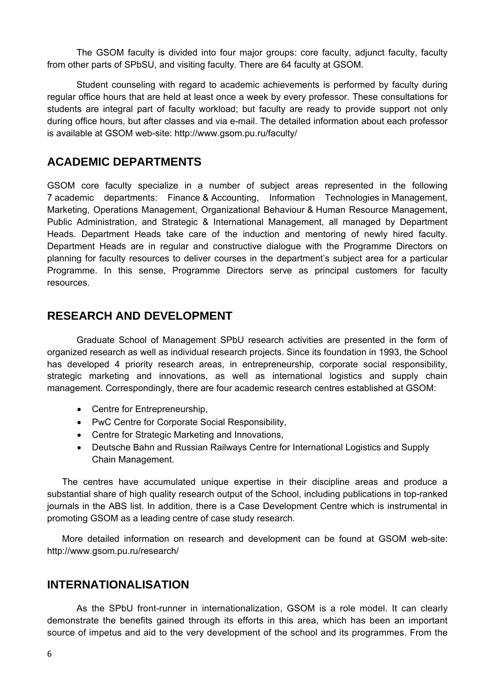The GSOM faculty is divided into four major groups: core faculty, adjunct faculty, faculty from other parts of SPbSU, and visiting faculty. There are 64 faculty at GSOM.

Student counseling with regard to academic achievements is performed by faculty during regular office hours that are held at least once a week by every professor. These consultations for students are integral part of faculty workload; but faculty are ready to provide support not only during office hours, but after classes and via e-mail. The detailed information about each professor is available at GSOM web-site: http://www.gsom.pu.ru/faculty/

# **ACADEMIC DEPARTMENTS**

GSOM core faculty specialize in a number of subject areas represented in the following 7 academic departments: Finance & Accounting, Information Technologies in Management, Marketing, Operations Management, Organizational Behaviour & Human Resource Management, Public Administration, and Strategic & International Management, all managed by Department Heads. Department Heads take care of the induction and mentoring of newly hired faculty. Department Heads are in regular and constructive dialogue with the Programme Directors on planning for faculty resources to deliver courses in the department's subject area for a particular Programme. In this sense, Programme Directors serve as principal customers for faculty resources.

# **RESEARCH AND DEVELOPMENT**

Graduate School of Management SPbU research activities are presented in the form of organized research as well as individual research projects. Since its foundation in 1993, the School has developed 4 priority research areas, in entrepreneurship, corporate social responsibility, strategic marketing and innovations, as well as international logistics and supply chain management. Correspondingly, there are four academic research centres established at GSOM:

- Centre for Entrepreneurship,
- PwC Centre for Corporate Social Responsibility,
- Centre for Strategic Marketing and Innovations,
- Deutsche Bahn and Russian Railways Centre for International Logistics and Supply Chain Management.

The centres have accumulated unique expertise in their discipline areas and produce a substantial share of high quality research output of the School, including publications in top-ranked journals in the ABS list. In addition, there is a Case Development Centre which is instrumental in promoting GSOM as a leading centre of case study research.

More detailed information on research and development can be found at GSOM web-site: http://www.gsom.pu.ru/research/

# **INTERNATIONALISATION**

As the SPbU front-runner in internationalization, GSOM is a role model. It can clearly demonstrate the benefits gained through its efforts in this area, which has been an important source of impetus and aid to the very development of the school and its programmes. From the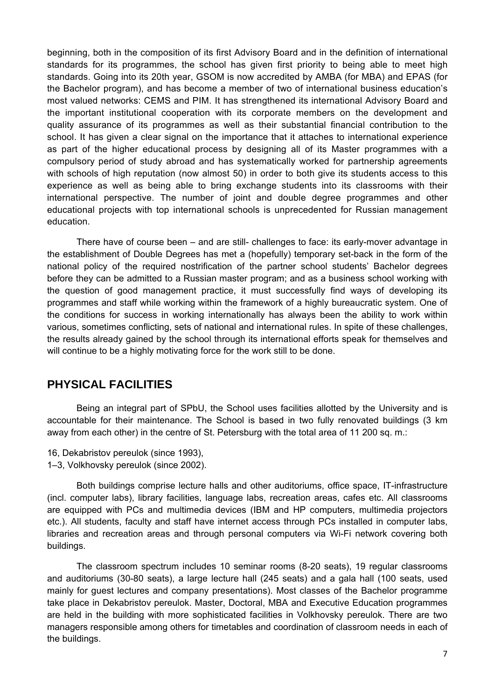beginning, both in the composition of its first Advisory Board and in the definition of international standards for its programmes, the school has given first priority to being able to meet high standards. Going into its 20th year, GSOM is now accredited by AMBA (for MBA) and EPAS (for the Bachelor program), and has become a member of two of international business education's most valued networks: CEMS and PIM. It has strengthened its international Advisory Board and the important institutional cooperation with its corporate members on the development and quality assurance of its programmes as well as their substantial financial contribution to the school. It has given a clear signal on the importance that it attaches to international experience as part of the higher educational process by designing all of its Master programmes with a compulsory period of study abroad and has systematically worked for partnership agreements with schools of high reputation (now almost 50) in order to both give its students access to this experience as well as being able to bring exchange students into its classrooms with their international perspective. The number of joint and double degree programmes and other educational projects with top international schools is unprecedented for Russian management education.

There have of course been – and are still- challenges to face: its early-mover advantage in the establishment of Double Degrees has met a (hopefully) temporary set-back in the form of the national policy of the required nostrification of the partner school students' Bachelor degrees before they can be admitted to a Russian master program; and as a business school working with the question of good management practice, it must successfully find ways of developing its programmes and staff while working within the framework of a highly bureaucratic system. One of the conditions for success in working internationally has always been the ability to work within various, sometimes conflicting, sets of national and international rules. In spite of these challenges, the results already gained by the school through its international efforts speak for themselves and will continue to be a highly motivating force for the work still to be done.

# **PHYSICAL FACILITIES**

Being an integral part of SPbU, the School uses facilities allotted by the University and is accountable for their maintenance. The School is based in two fully renovated buildings (3 km away from each other) in the centre of St. Petersburg with the total area of 11 200 sq. m.:

16, Dekabristov pereulok (since 1993), 1–3, Volkhovsky pereulok (since 2002).

Both buildings comprise lecture halls and other auditoriums, office space, IT-infrastructure (incl. computer labs), library facilities, language labs, recreation areas, cafes etc. All classrooms are equipped with PCs and multimedia devices (IBM and HP computers, multimedia projectors etc.). All students, faculty and staff have internet access through PCs installed in computer labs, libraries and recreation areas and through personal computers via Wi-Fi network covering both buildings.

The classroom spectrum includes 10 seminar rooms (8-20 seats), 19 regular classrooms and auditoriums (30-80 seats), a large lecture hall (245 seats) and a gala hall (100 seats, used mainly for guest lectures and company presentations). Most classes of the Bachelor programme take place in Dekabristov pereulok. Master, Doctoral, MBA and Executive Education programmes are held in the building with more sophisticated facilities in Volkhovsky pereulok. There are two managers responsible among others for timetables and coordination of classroom needs in each of the buildings.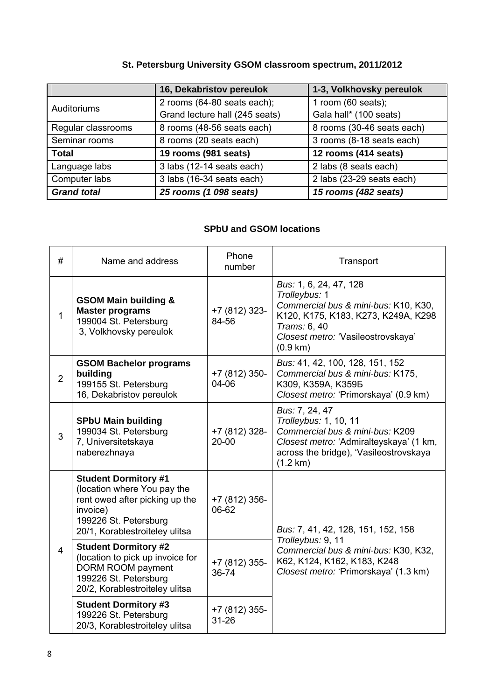# **St. Petersburg University GSOM classroom spectrum, 2011/2012**

|                    | 16, Dekabristov pereulok       | 1-3, Volkhovsky pereulok   |
|--------------------|--------------------------------|----------------------------|
| Auditoriums        | 2 rooms (64-80 seats each);    | 1 room $(60$ seats);       |
|                    | Grand lecture hall (245 seats) | Gala hall* (100 seats)     |
| Regular classrooms | 8 rooms (48-56 seats each)     | 8 rooms (30-46 seats each) |
| Seminar rooms      | 8 rooms (20 seats each)        | 3 rooms (8-18 seats each)  |
| <b>Total</b>       | 19 rooms (981 seats)           | 12 rooms (414 seats)       |
| Language labs      | 3 labs (12-14 seats each)      | 2 labs (8 seats each)      |
| Computer labs      | 3 labs (16-34 seats each)      | 2 labs (23-29 seats each)  |
| <b>Grand total</b> | 25 rooms (1 098 seats)         | 15 rooms (482 seats)       |

# **SPbU and GSOM locations**

| #              | Name and address                                                                                                                                                    | Phone<br>number            | Transport                                                                                                                                                                                |  |
|----------------|---------------------------------------------------------------------------------------------------------------------------------------------------------------------|----------------------------|------------------------------------------------------------------------------------------------------------------------------------------------------------------------------------------|--|
| $\mathbf{1}$   | <b>GSOM Main building &amp;</b><br><b>Master programs</b><br>199004 St. Petersburg<br>3, Volkhovsky pereulok                                                        | +7 (812) 323-<br>84-56     | Bus: 1, 6, 24, 47, 128<br>Trolleybus: 1<br>Commercial bus & mini-bus: K10, K30,<br>K120, K175, K183, K273, K249A, K298<br>Trams: 6, 40<br>Closest metro: 'Vasileostrovskaya'<br>(0.9 km) |  |
| $\overline{2}$ | <b>GSOM Bachelor programs</b><br>building<br>199155 St. Petersburg<br>16, Dekabristov pereulok                                                                      | +7 (812) 350-<br>04-06     | Bus: 41, 42, 100, 128, 151, 152<br>Commercial bus & mini-bus: K175,<br>K309, K359A, K359B<br>Closest metro: 'Primorskaya' (0.9 km)                                                       |  |
| 3              | <b>SPbU Main building</b><br>199034 St. Petersburg<br>7, Universitetskaya<br>naberezhnaya                                                                           | +7 (812) 328-<br>$20 - 00$ | Bus: 7, 24, 47<br>Trolleybus: 1, 10, 11<br>Commercial bus & mini-bus: K209<br>Closest metro: 'Admiralteyskaya' (1 km,<br>across the bridge), 'Vasileostrovskaya<br>$(1.2 \text{ km})$    |  |
|                | <b>Student Dormitory #1</b><br>(location where You pay the<br>rent owed after picking up the<br>invoice)<br>199226 St. Petersburg<br>20/1, Korablestroiteley ulitsa | +7 (812) 356-<br>06-62     | Bus: 7, 41, 42, 128, 151, 152, 158                                                                                                                                                       |  |
| $\overline{4}$ | <b>Student Dormitory #2</b><br>(location to pick up invoice for<br>DORM ROOM payment<br>199226 St. Petersburg<br>20/2, Korablestroiteley ulitsa                     | +7 (812) 355-<br>36-74     | Trolleybus: 9, 11<br>Commercial bus & mini-bus: K30, K32,<br>K62, K124, K162, K183, K248<br>Closest metro: 'Primorskaya' (1.3 km)                                                        |  |
|                | <b>Student Dormitory #3</b><br>199226 St. Petersburg<br>20/3, Korablestroiteley ulitsa                                                                              | +7 (812) 355-<br>$31 - 26$ |                                                                                                                                                                                          |  |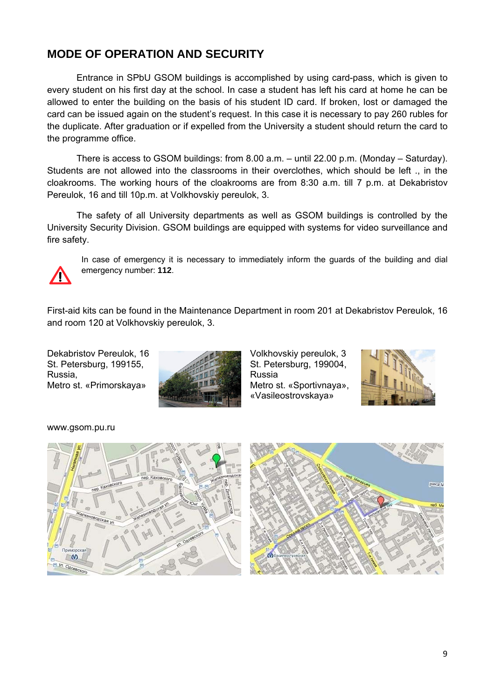# **MODE OF OPERATION AND SECURITY**

Entrance in SPbU GSOM buildings is accomplished by using card-pass, which is given to every student on his first day at the school. In case a student has left his card at home he can be allowed to enter the building on the basis of his student ID card. If broken, lost or damaged the card can be issued again on the student's request. In this case it is necessary to pay 260 rubles for the duplicate. After graduation or if expelled from the University a student should return the card to the programme office.

There is access to GSOM buildings: from 8.00 a.m. – until 22.00 p.m. (Monday – Saturday). Students are not allowed into the classrooms in their overclothes, which should be left ., in the cloakrooms. The working hours of the cloakrooms are from 8:30 a.m. till 7 p.m. at Dekabristov Pereulok, 16 and till 10p.m. at Volkhovskiy pereulok, 3.

The safety of all University departments as well as GSOM buildings is controlled by the University Security Division. GSOM buildings are equipped with systems for video surveillance and fire safety.



In case of emergency it is necessary to immediately inform the guards of the building and dial emergency number: **112**.

First-aid kits can be found in the Maintenance Department in room 201 at Dekabristov Pereulok, 16 and room 120 at Volkhovskiy pereulok, 3.

Dekabristov Pereulok, 16 St. Petersburg, 199155, Russia, Metro st. «Primorskaya»



Volkhovskiy pereulok, 3 St. Petersburg, 199004, Russia Metro st. «Sportivnaya», «Vasileostrovskaya»



www.gsom.pu.ru



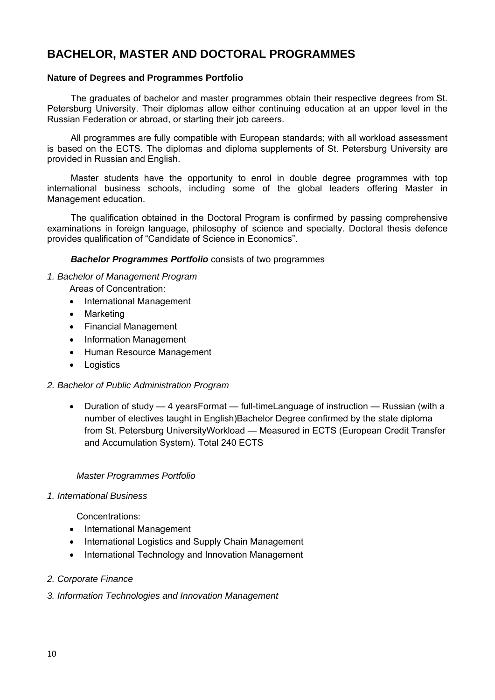# **BACHELOR, MASTER AND DOCTORAL PROGRAMMES**

#### **Nature of Degrees and Programmes Portfolio**

The graduates of bachelor and master programmes obtain their respective degrees from St. Petersburg University. Their diplomas allow either continuing education at an upper level in the Russian Federation or abroad, or starting their job careers.

All programmes are fully compatible with European standards; with all workload assessment is based on the ECTS. The diplomas and diploma supplements of St. Petersburg University are provided in Russian and English.

Master students have the opportunity to enrol in double degree programmes with top international business schools, including some of the global leaders offering Master in Management education.

The qualification obtained in the Doctoral Program is confirmed by passing comprehensive examinations in foreign language, philosophy of science and specialty. Doctoral thesis defence provides qualification of "Candidate of Science in Economics".

#### *Bachelor Programmes Portfolio* consists of two programmes

#### *1. Bachelor of Management Program*

- Areas of Concentration:
	- International Management
	- Marketing
	- Financial Management
	- Information Management
	- Human Resource Management
	- **Logistics**

#### *2. Bachelor of Public Administration Program*

• Duration of study — 4 yearsFormat — full-timeLanguage of instruction — Russian (with a number of electives taught in English)Bachelor Degree confirmed by the state diploma from St. Petersburg UniversityWorkload — Measured in ECTS (European Credit Transfer and Accumulation System). Total 240 ECTS

#### *Master Programmes Portfolio*

#### *1. International Business*

Concentrations:

- International Management
- International Logistics and Supply Chain Management
- International Technology and Innovation Management

#### *2. Corporate Finance*

*3. Information Technologies and Innovation Management*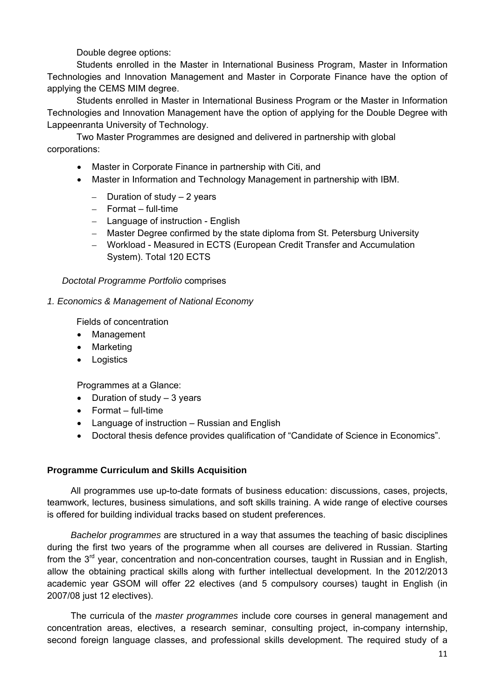Double degree options:

Students enrolled in the Master in International Business Program, Master in Information Technologies and Innovation Management and Master in Corporate Finance have the option of applying the CEMS MIM degree.

Students enrolled in Master in International Business Program or the Master in Information Technologies and Innovation Management have the option of applying for the Double Degree with Lappeenranta University of Technology.

Two Master Programmes are designed and delivered in partnership with global corporations:

- Master in Corporate Finance in partnership with Citi, and
- Master in Information and Technology Management in partnership with IBM.
	- $-$  Duration of study  $-2$  years
	- $-$  Format full-time
	- Language of instruction English
	- Master Degree confirmed by the state diploma from St. Petersburg University
	- Workload Measured in ECTS (European Credit Transfer and Accumulation System). Total 120 ECTS

*Doctotal Programme Portfolio* comprises

#### *1. Economics & Management of National Economy*

Fields of concentration

- Management
- Marketing
- Logistics

Programmes at a Glance:

- Duration of study 3 years
- Format full-time
- Language of instruction Russian and English
- Doctoral thesis defence provides qualification of "Candidate of Science in Economics".

#### **Programme Curriculum and Skills Acquisition**

All programmes use up-to-date formats of business education: discussions, cases, projects, teamwork, lectures, business simulations, and soft skills training. A wide range of elective courses is offered for building individual tracks based on student preferences.

*Bachelor programmes* are structured in a way that assumes the teaching of basic disciplines during the first two years of the programme when all courses are delivered in Russian. Starting from the 3<sup>rd</sup> year, concentration and non-concentration courses, taught in Russian and in English, allow the obtaining practical skills along with further intellectual development. In the 2012/2013 academic year GSOM will offer 22 electives (and 5 compulsory courses) taught in English (in 2007/08 just 12 electives).

The curricula of the *master programmes* include core courses in general management and concentration areas, electives, a research seminar, consulting project, in-company internship, second foreign language classes, and professional skills development. The required study of a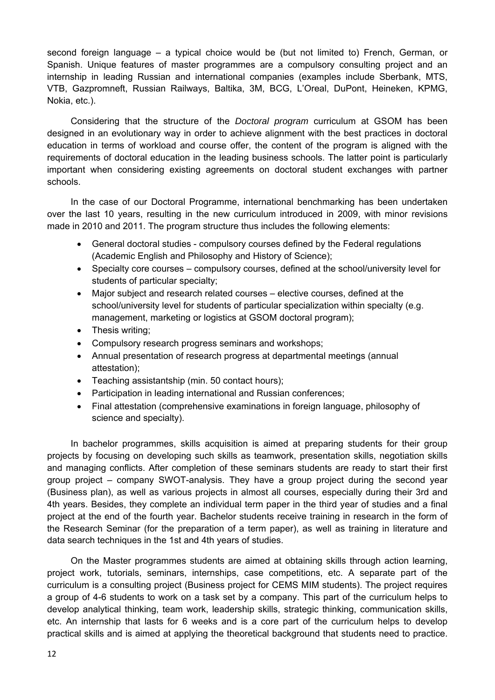second foreign language – a typical choice would be (but not limited to) French, German, or Spanish. Unique features of master programmes are a compulsory consulting project and an internship in leading Russian and international companies (examples include Sberbank, MTS, VTB, Gazpromneft, Russian Railways, Baltika, 3M, BCG, L'Oreal, DuPont, Heineken, KPMG, Nokia, etc.).

Considering that the structure of the *Doctoral program* curriculum at GSOM has been designed in an evolutionary way in order to achieve alignment with the best practices in doctoral education in terms of workload and course offer, the content of the program is aligned with the requirements of doctoral education in the leading business schools. The latter point is particularly important when considering existing agreements on doctoral student exchanges with partner schools.

In the case of our Doctoral Programme, international benchmarking has been undertaken over the last 10 years, resulting in the new curriculum introduced in 2009, with minor revisions made in 2010 and 2011. The program structure thus includes the following elements:

- General doctoral studies compulsory courses defined by the Federal regulations (Academic English and Philosophy and History of Science);
- Specialty core courses compulsory courses, defined at the school/university level for students of particular specialty;
- Major subject and research related courses elective courses, defined at the school/university level for students of particular specialization within specialty (e.g. management, marketing or logistics at GSOM doctoral program);
- Thesis writing;
- Compulsory research progress seminars and workshops;
- Annual presentation of research progress at departmental meetings (annual attestation);
- Teaching assistantship (min. 50 contact hours);
- Participation in leading international and Russian conferences;
- Final attestation (comprehensive examinations in foreign language, philosophy of science and specialty).

In bachelor programmes, skills acquisition is aimed at preparing students for their group projects by focusing on developing such skills as teamwork, presentation skills, negotiation skills and managing conflicts. After completion of these seminars students are ready to start their first group project – company SWOT-analysis. They have a group project during the second year (Business plan), as well as various projects in almost all courses, especially during their 3rd and 4th years. Besides, they complete an individual term paper in the third year of studies and a final project at the end of the fourth year. Bachelor students receive training in research in the form of the Research Seminar (for the preparation of a term paper), as well as training in literature and data search techniques in the 1st and 4th years of studies.

On the Master programmes students are aimed at obtaining skills through action learning, project work, tutorials, seminars, internships, case competitions, etc. A separate part of the curriculum is a consulting project (Business project for CEMS MIM students). The project requires a group of 4-6 students to work on a task set by a company. This part of the curriculum helps to develop analytical thinking, team work, leadership skills, strategic thinking, communication skills, etc. An internship that lasts for 6 weeks and is a core part of the curriculum helps to develop practical skills and is aimed at applying the theoretical background that students need to practice.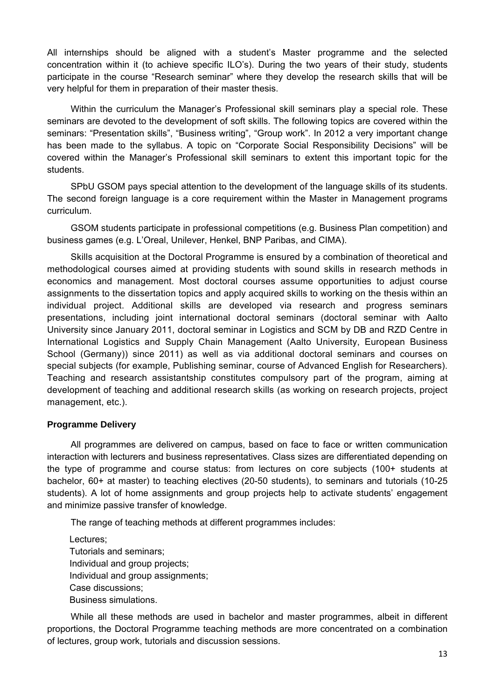All internships should be aligned with a student's Master programme and the selected concentration within it (to achieve specific ILO's). During the two years of their study, students participate in the course "Research seminar" where they develop the research skills that will be very helpful for them in preparation of their master thesis.

Within the curriculum the Manager's Professional skill seminars play a special role. These seminars are devoted to the development of soft skills. The following topics are covered within the seminars: "Presentation skills", "Business writing", "Group work". In 2012 a very important change has been made to the syllabus. A topic on "Corporate Social Responsibility Decisions" will be covered within the Manager's Professional skill seminars to extent this important topic for the students.

SPbU GSOM pays special attention to the development of the language skills of its students. The second foreign language is a core requirement within the Master in Management programs curriculum.

GSOM students participate in professional competitions (e.g. Business Plan competition) and business games (e.g. L'Oreal, Unilever, Henkel, BNP Paribas, and CIMA).

Skills acquisition at the Doctoral Programme is ensured by a combination of theoretical and methodological courses aimed at providing students with sound skills in research methods in economics and management. Most doctoral courses assume opportunities to adjust course assignments to the dissertation topics and apply acquired skills to working on the thesis within an individual project. Additional skills are developed via research and progress seminars presentations, including joint international doctoral seminars (doctoral seminar with Aalto University since January 2011, doctoral seminar in Logistics and SCM by DB and RZD Centre in International Logistics and Supply Chain Management (Aalto University, European Business School (Germany)) since 2011) as well as via additional doctoral seminars and courses on special subjects (for example, Publishing seminar, course of Advanced English for Researchers). Teaching and research assistantship constitutes compulsory part of the program, aiming at development of teaching and additional research skills (as working on research projects, project management, etc.).

#### **Programme Delivery**

All programmes are delivered on campus, based on face to face or written communication interaction with lecturers and business representatives. Class sizes are differentiated depending on the type of programme and course status: from lectures on core subjects (100+ students at bachelor, 60+ at master) to teaching electives (20-50 students), to seminars and tutorials (10-25 students). A lot of home assignments and group projects help to activate students' engagement and minimize passive transfer of knowledge.

The range of teaching methods at different programmes includes:

Lectures; Tutorials and seminars; Individual and group projects; Individual and group assignments; Case discussions; Business simulations.

While all these methods are used in bachelor and master programmes, albeit in different proportions, the Doctoral Programme teaching methods are more concentrated on a combination of lectures, group work, tutorials and discussion sessions.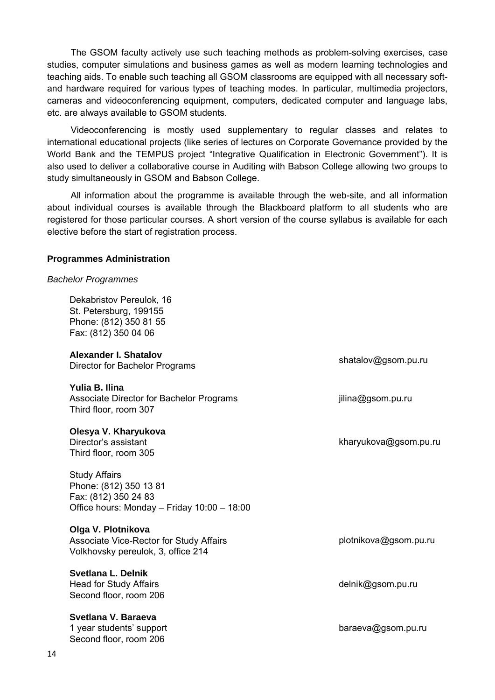The GSOM faculty actively use such teaching methods as problem-solving exercises, case studies, computer simulations and business games as well as modern learning technologies and teaching aids. To enable such teaching all GSOM classrooms are equipped with all necessary softand hardware required for various types of teaching modes. In particular, multimedia projectors, cameras and videoconferencing equipment, computers, dedicated computer and language labs, etc. are always available to GSOM students.

Videoconferencing is mostly used supplementary to regular classes and relates to international educational projects (like series of lectures on Corporate Governance provided by the World Bank and the TEMPUS project "Integrative Qualification in Electronic Government"). It is also used to deliver a collaborative course in Auditing with Babson College allowing two groups to study simultaneously in GSOM and Babson College.

All information about the programme is available through the web-site, and all information about individual courses is available through the Blackboard platform to all students who are registered for those particular courses. A short version of the course syllabus is available for each elective before the start of registration process.

#### **Programmes Administration**

#### *Bachelor Programmes*

Dekabristov Pereulok, 16 St. Petersburg, 199155 Phone: (812) 350 81 55 Fax: (812) 350 04 06

**Alexander I. Shatalov**  Alexander I: Shatalov<br>Director for Bachelor Programs shatalov@gsom.pu.ru

**Yulia B. Ilina** Associate Director for Bachelor Programs Third floor, room 307

**Olesya V. Kharyukova** Director's assistant Third floor, room 305

Study Affairs Phone: (812) 350 13 81 Fax: (812) 350 24 83 Office hours: Monday – Friday 10:00 – 18:00

#### **Olga V. Plotnikova**

| Associate Vice-Rector for Study Affairs | plotnikova@gsom.pu.ru |
|-----------------------------------------|-----------------------|
| Volkhovsky pereulok, 3, office 214      |                       |

#### **Svetlana L. Delnik**

Head for Study Affairs Second floor, room 206

**Svetlana V. Baraeva**

1 year students' support Second floor, room 206

jilina@gsom.pu.ru

kharyukova@gsom.pu.ru

delnik@gsom.pu.ru

baraeva@gsom.pu.ru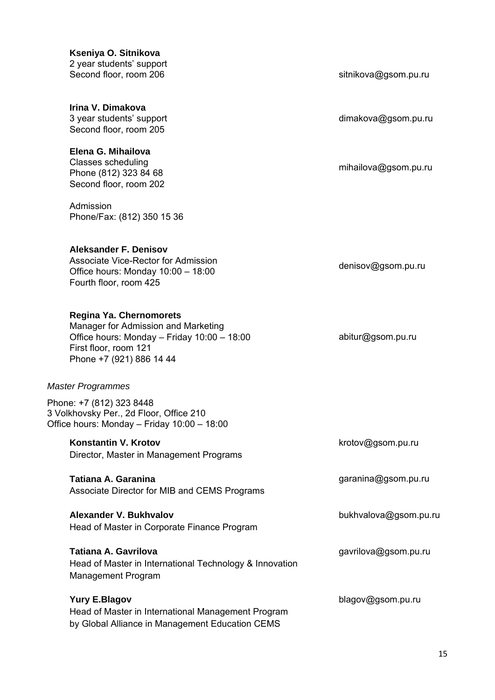| Kseniya O. Sitnikova     |
|--------------------------|
| 2 year students' support |
| Second floor, room 206   |

**Irina V. Dimakova** 3 year students' support Second floor, room 205

**Elena G. Mihailova** Classes scheduling Phone (812) 323 84 68

Second floor, room 202

Admission Phone/Fax: (812) 350 15 36

#### **Aleksander F. Denisov**

Associate Vice-Rector for Admission Office hours: Monday 10:00 – 18:00 Fourth floor, room 425

#### **Regina Ya. Chernomorets**

Manager for Admission and Marketing Office hours: Monday – Friday 10:00 – 18:00 First floor, room 121 Phone +7 (921) 886 14 44

#### *Master Programmes*

Phone: +7 (812) 323 8448 3 Volkhovsky Per., 2d Floor, Office 210 Office hours: Monday – Friday 10:00 – 18:00

#### **Konstantin V. Krotov**

Director, Master in Management Programs

**Tatiana A. Garanina** Associate Director for MIB and CEMS Programs

**Alexander V. Bukhvalov**  Head of Master in Corporate Finance Program

#### **Tatiana A. Gavrilova**

Head of Master in International Technology & Innovation Management Program

#### **Yury E.Blagov**

Head of Master in International Management Program by Global Alliance in Management Education CEMS

sitnikova@gsom.pu.ru

dimakova@gsom.pu.ru

mihailova@gsom.pu.ru

denisov@gsom.pu.ru

abitur@gsom.pu.ru

krotov@gsom.pu.ru

garanina@gsom.pu.ru

bukhvalova@gsom.pu.ru

#### gavrilova@gsom.pu.ru

blagov@gsom.pu.ru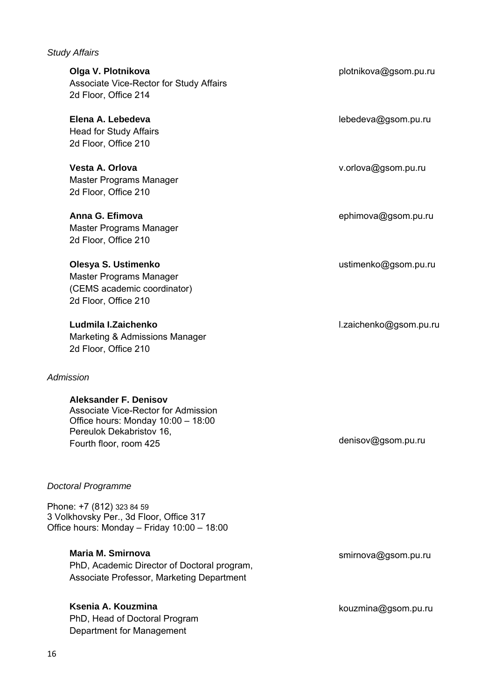# *Study Affairs*

| Olga V. Plotnikova<br>Associate Vice-Rector for Study Affairs<br>2d Floor, Office 214                                                                                  | plotnikova@gsom.pu.ru  |
|------------------------------------------------------------------------------------------------------------------------------------------------------------------------|------------------------|
| Elena A. Lebedeva<br><b>Head for Study Affairs</b><br>2d Floor, Office 210                                                                                             | lebedeva@gsom.pu.ru    |
| Vesta A. Orlova<br>Master Programs Manager<br>2d Floor, Office 210                                                                                                     | v.orlova@gsom.pu.ru    |
| Anna G. Efimova<br>Master Programs Manager<br>2d Floor, Office 210                                                                                                     | ephimova@gsom.pu.ru    |
| Olesya S. Ustimenko<br>Master Programs Manager<br>(CEMS academic coordinator)                                                                                          | ustimenko@gsom.pu.ru   |
| 2d Floor, Office 210<br>Ludmila I.Zaichenko<br>Marketing & Admissions Manager<br>2d Floor, Office 210                                                                  | l.zaichenko@gsom.pu.ru |
| Admission                                                                                                                                                              |                        |
| <b>Aleksander F. Denisov</b><br><b>Associate Vice-Rector for Admission</b><br>Office hours: Monday 10:00 - 18:00<br>Pereulok Dekabristov 16,<br>Fourth floor, room 425 | denisov@gsom.pu.ru     |
| <b>Doctoral Programme</b>                                                                                                                                              |                        |
| Phone: +7 (812) 323 84 59<br>3 Volkhovsky Per., 3d Floor, Office 317<br>Office hours: Monday - Friday 10:00 - 18:00                                                    |                        |
| <b>Maria M. Smirnova</b><br>PhD, Academic Director of Doctoral program,<br>Associate Professor, Marketing Department                                                   | smirnova@gsom.pu.ru    |
| Ksenia A. Kouzmina<br>PhD, Head of Doctoral Program<br>Department for Management                                                                                       | kouzmina@gsom.pu.ru    |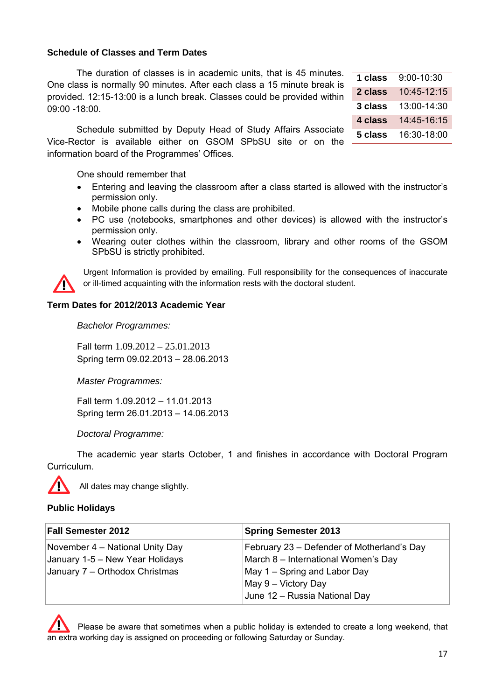#### **Schedule of Classes and Term Dates**

The duration of classes is in academic units, that is 45 minutes. One class is normally 90 minutes. After each class a 15 minute break is provided. 12:15-13:00 is a lunch break. Classes could be provided within 09:00 -18:00.

Schedule submitted by Deputy Head of Study Affairs Associate Vice-Rector is available either on GSOM SPbSU site or on the information board of the Programmes' Offices.

One should remember that

- Entering and leaving the classroom after a class started is allowed with the instructor's permission only.
- Mobile phone calls during the class are prohibited.
- PC use (notebooks, smartphones and other devices) is allowed with the instructor's permission only.
- Wearing outer clothes within the classroom, library and other rooms of the GSOM SPbSU is strictly prohibited.



Urgent Information is provided by emailing. Full responsibility for the consequences of inaccurate or ill-timed acquainting with the information rests with the doctoral student.

#### **Term Dates for 2012/2013 Academic Year**

*Bachelor Programmes:* 

Fall term 1.09.2012 – 25.01.2013 Spring term 09.02.2013 – 28.06.2013

*Master Programmes:* 

Fall term 1.09.2012 – 11.01.2013 Spring term 26.01.2013 – 14.06.2013

*Doctoral Programme:* 

The academic year starts October, 1 and finishes in accordance with Doctoral Program Curriculum.



All dates may change slightly.

#### **Public Holidays**

| <b>Fall Semester 2012</b>       | <b>Spring Semester 2013</b>                |  |
|---------------------------------|--------------------------------------------|--|
| November 4 – National Unity Day | February 23 – Defender of Motherland's Day |  |
| January 1-5 – New Year Holidays | March 8 - International Women's Day        |  |
| January 7 - Orthodox Christmas  | May 1 – Spring and Labor Day               |  |
|                                 | May 9 – Victory Day                        |  |
|                                 | June 12 - Russia National Day              |  |

Please be aware that sometimes when a public holiday is extended to create a long weekend, that an extra working day is assigned on proceeding or following Saturday or Sunday.

| 1 class | 9:00-10:30  |
|---------|-------------|
| 2 class | 10:45-12:15 |
| 3 class | 13:00-14:30 |
| 4 class | 14:45-16:15 |
| 5 class | 16:30-18:00 |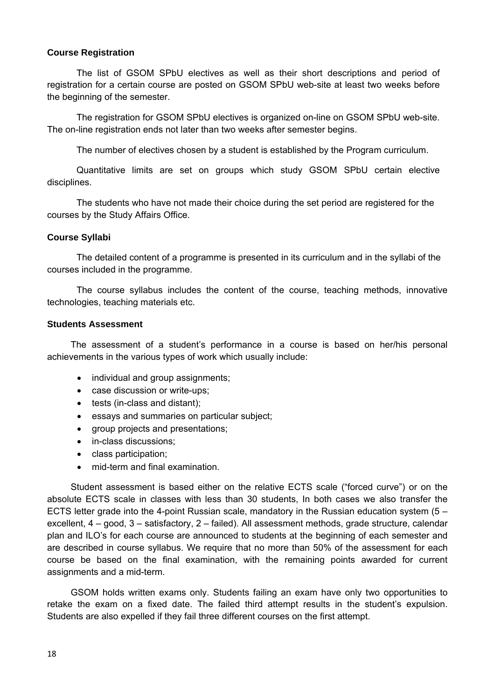#### **Course Registration**

The list of GSOM SPbU electives as well as their short descriptions and period of registration for a certain course are posted on GSOM SPbU web-site at least two weeks before the beginning of the semester.

The registration for GSOM SPbU electives is organized on-line on GSOM SPbU web-site. The on-line registration ends not later than two weeks after semester begins.

The number of electives chosen by a student is established by the Program curriculum.

Quantitative limits are set on groups which study GSOM SPbU certain elective disciplines.

The students who have not made their choice during the set period are registered for the courses by the Study Affairs Office.

#### **Course Syllabi**

The detailed content of a programme is presented in its curriculum and in the syllabi of the courses included in the programme.

The course syllabus includes the content of the course, teaching methods, innovative technologies, teaching materials etc.

#### **Students Assessment**

The assessment of a student's performance in a course is based on her/his personal achievements in the various types of work which usually include:

- individual and group assignments;
- case discussion or write-ups;
- tests (in-class and distant);
- essays and summaries on particular subject;
- group projects and presentations;
- in-class discussions;
- class participation;
- mid-term and final examination.

Student assessment is based either on the relative ECTS scale ("forced curve") or on the absolute ECTS scale in classes with less than 30 students, In both cases we also transfer the ECTS letter grade into the 4-point Russian scale, mandatory in the Russian education system (5 – excellent, 4 – good, 3 – satisfactory, 2 – failed). All assessment methods, grade structure, calendar plan and ILO's for each course are announced to students at the beginning of each semester and are described in course syllabus. We require that no more than 50% of the assessment for each course be based on the final examination, with the remaining points awarded for current assignments and a mid-term.

GSOM holds written exams only. Students failing an exam have only two opportunities to retake the exam on a fixed date. The failed third attempt results in the student's expulsion. Students are also expelled if they fail three different courses on the first attempt.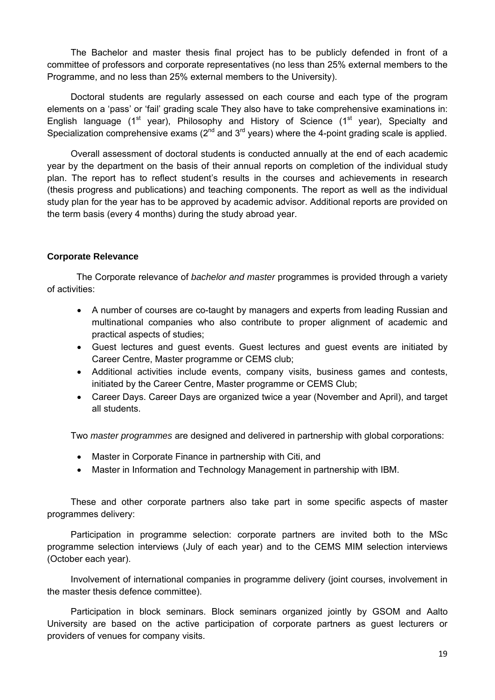The Bachelor and master thesis final project has to be publicly defended in front of a committee of professors and corporate representatives (no less than 25% external members to the Programme, and no less than 25% external members to the University).

Doctoral students are regularly assessed on each course and each type of the program elements on a 'pass' or 'fail' grading scale They also have to take comprehensive examinations in: English language ( $1<sup>st</sup>$  year), Philosophy and History of Science ( $1<sup>st</sup>$  year), Specialty and Specialization comprehensive exams  $(2^{nd}$  and  $3^{rd}$  years) where the 4-point grading scale is applied.

Overall assessment of doctoral students is conducted annually at the end of each academic year by the department on the basis of their annual reports on completion of the individual study plan. The report has to reflect student's results in the courses and achievements in research (thesis progress and publications) and teaching components. The report as well as the individual study plan for the year has to be approved by academic advisor. Additional reports are provided on the term basis (every 4 months) during the study abroad year.

#### **Corporate Relevance**

The Corporate relevance of *bachelor and master* programmes is provided through a variety of activities:

- A number of courses are co-taught by managers and experts from leading Russian and multinational companies who also contribute to proper alignment of academic and practical aspects of studies;
- Guest lectures and guest events. Guest lectures and guest events are initiated by Career Centre, Master programme or CEMS club;
- Additional activities include events, company visits, business games and contests, initiated by the Career Centre, Master programme or CEMS Club;
- Career Days. Career Days are organized twice a year (November and April), and target all students.

Two *master programmes* are designed and delivered in partnership with global corporations:

- Master in Corporate Finance in partnership with Citi, and
- Master in Information and Technology Management in partnership with IBM.

These and other corporate partners also take part in some specific aspects of master programmes delivery:

Participation in programme selection: corporate partners are invited both to the MSc programme selection interviews (July of each year) and to the CEMS MIM selection interviews (October each year).

Involvement of international companies in programme delivery (joint courses, involvement in the master thesis defence committee).

Participation in block seminars. Block seminars organized jointly by GSOM and Aalto University are based on the active participation of corporate partners as guest lecturers or providers of venues for company visits.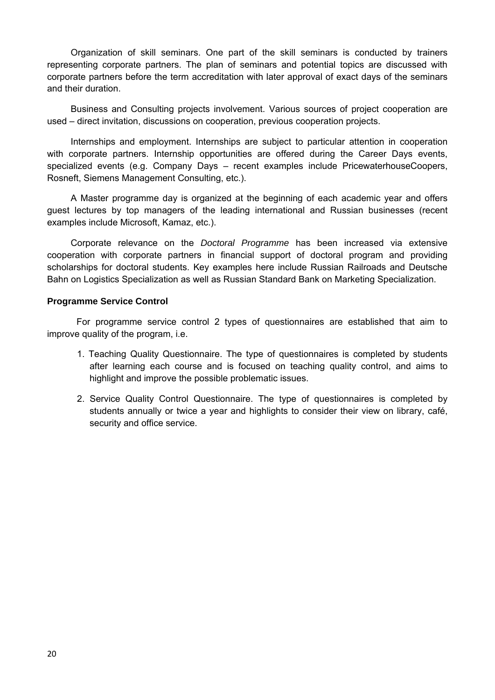Organization of skill seminars. One part of the skill seminars is conducted by trainers representing corporate partners. The plan of seminars and potential topics are discussed with corporate partners before the term accreditation with later approval of exact days of the seminars and their duration.

Business and Consulting projects involvement. Various sources of project cooperation are used – direct invitation, discussions on cooperation, previous cooperation projects.

Internships and employment. Internships are subject to particular attention in cooperation with corporate partners. Internship opportunities are offered during the Career Days events, specialized events (e.g. Company Days – recent examples include PricewaterhouseCoopers, Rosneft, Siemens Management Consulting, etc.).

A Master programme day is organized at the beginning of each academic year and offers guest lectures by top managers of the leading international and Russian businesses (recent examples include Microsoft, Kamaz, etc.).

Corporate relevance on the *Doctoral Programme* has been increased via extensive cooperation with corporate partners in financial support of doctoral program and providing scholarships for doctoral students. Key examples here include Russian Railroads and Deutsche Bahn on Logistics Specialization as well as Russian Standard Bank on Marketing Specialization.

#### **Programme Service Control**

For programme service control 2 types of questionnaires are established that aim to improve quality of the program, i.e.

- 1. Teaching Quality Questionnaire. The type of questionnaires is completed by students after learning each course and is focused on teaching quality control, and aims to highlight and improve the possible problematic issues.
- 2. Service Quality Control Questionnaire. The type of questionnaires is completed by students annually or twice a year and highlights to consider their view on library, café, security and office service.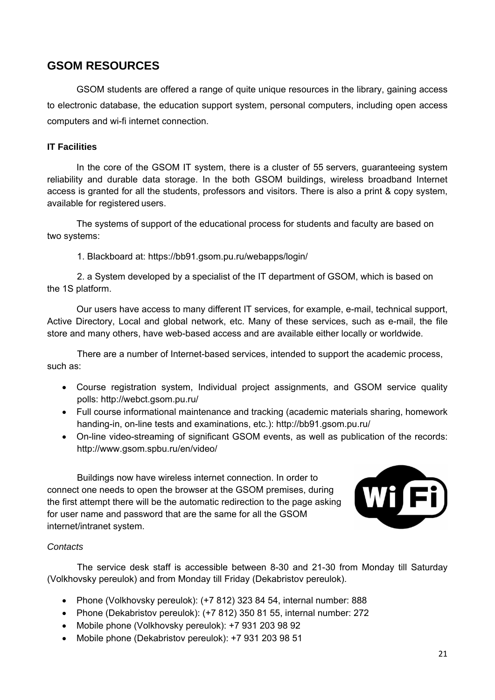# **GSOM RESOURCES**

GSOM students are offered a range of quite unique resources in the library, gaining access to electronic database, the education support system, personal computers, including open access computers and wi-fi internet connection.

#### **IT Facilities**

In the core of the GSOM IT system, there is a cluster of 55 servers, guaranteeing system reliability and durable data storage. In the both GSOM buildings, wireless broadband Internet access is granted for all the students, professors and visitors. There is also a print & copy system, available for registered users.

The systems of support of the educational process for students and faculty are based on two systems:

1. Blackboard at: https://bb91.gsom.pu.ru/webapps/login/

2. a System developed by a specialist of the IT department of GSOM, which is based on the 1S platform.

Our users have access to many different IT services, for example, e-mail, technical support, Active Directory, Local and global network, etc. Many of these services, such as e-mail, the file store and many others, have web-based access and are available either locally or worldwide.

There are a number of Internet-based services, intended to support the academic process, such as:

- Course registration system, Individual project assignments, and GSOM service quality polls: http://webct.gsom.pu.ru/
- Full course informational maintenance and tracking (academic materials sharing, homework handing-in, on-line tests and examinations, etc.): http://bb91.gsom.pu.ru/
- On-line video-streaming of significant GSOM events, as well as publication of the records: http://www.gsom.spbu.ru/en/video/

Buildings now have wireless internet connection. In order to connect one needs to open the browser at the GSOM premises, during the first attempt there will be the automatic redirection to the page asking for user name and password that are the same for all the GSOM internet/intranet system.



#### *Contacts*

The service desk staff is accessible between 8-30 and 21-30 from Monday till Saturday (Volkhovsky pereulok) and from Monday till Friday (Dekabristov pereulok).

- Phone (Volkhovsky pereulok): (+7 812) 323 84 54, internal number: 888
- Phone (Dekabristov pereulok): (+7 812) 350 81 55, internal number: 272
- Mobile phone (Volkhovsky pereulok): +7 931 203 98 92
- Mobile phone (Dekabristov pereulok): +7 931 203 98 51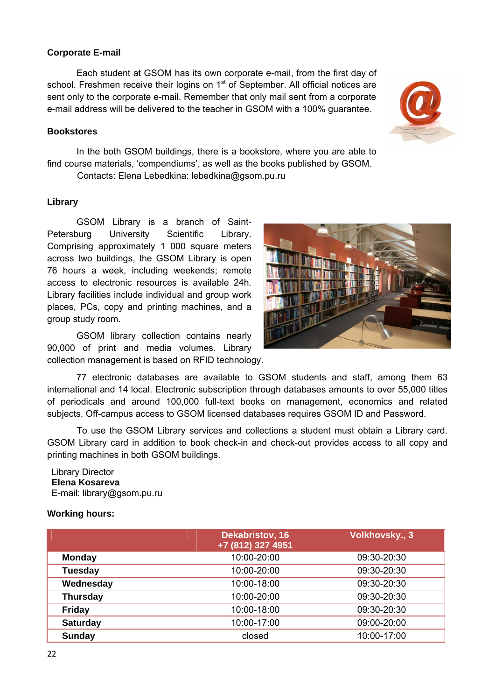#### **Corporate E-mail**

Each student at GSOM has its own corporate e-mail, from the first day of school. Freshmen receive their logins on  $1<sup>st</sup>$  of September. All official notices are sent only to the corporate e-mail. Remember that only mail sent from a corporate e-mail address will be delivered to the teacher in GSOM with a 100% guarantee.

#### **Bookstores**

In the both GSOM buildings, there is a bookstore, where you are able to find course materials, 'compendiums', as well as the books published by GSOM.

Contacts: Elena Lebedkina: lebedkina@gsom.pu.ru

#### **Library**

GSOM Library is a branch of Saint-Petersburg University Scientific Library. Comprising approximately 1 000 square meters across two buildings, the GSOM Library is open 76 hours a week, including weekends; remote access to electronic resources is available 24h. Library facilities include individual and group work places, PCs, copy and printing machines, and a group study room.

GSOM library collection contains nearly 90,000 of print and media volumes. Library collection management is based on RFID technology.



77 electronic databases are available to GSOM students and staff, among them 63 international and 14 local. Electronic subscription through databases amounts to over 55,000 titles of periodicals and around 100,000 full-text books on management, economics and related subjects. Off-campus access to GSOM licensed databases requires GSOM ID and Password.

To use the GSOM Library services and collections a student must obtain a Library card. GSOM Library card in addition to book check-in and check-out provides access to all copy and printing machines in both GSOM buildings.

#### Library Director **Elena Kosareva**  E-mail: library@gsom.pu.ru

#### **Working hours:**

|                 | <b>Dekabristov, 16</b> | Volkhovsky., 3 |
|-----------------|------------------------|----------------|
|                 | +7 (812) 327 4951      |                |
| <b>Monday</b>   | 10:00-20:00            | 09:30-20:30    |
| <b>Tuesday</b>  | 10:00-20:00            | 09:30-20:30    |
| Wednesday       | 10:00-18:00            | 09:30-20:30    |
| <b>Thursday</b> | 10:00-20:00            | 09:30-20:30    |
| <b>Friday</b>   | 10:00-18:00            | 09:30-20:30    |
| <b>Saturday</b> | 10:00-17:00            | 09:00-20:00    |
| Sunday          | closed                 | 10:00-17:00    |

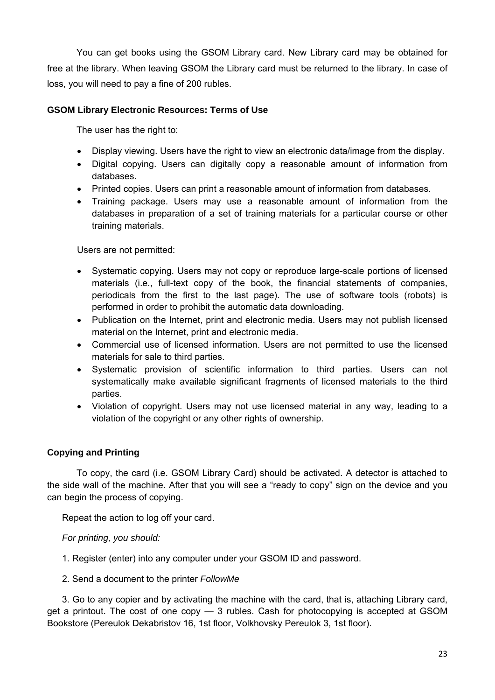You can get books using the GSOM Library card. New Library card may be obtained for free at the library. When leaving GSOM the Library card must be returned to the library. In case of loss, you will need to pay a fine of 200 rubles.

#### **GSOM Library Electronic Resources: Terms of Use**

The user has the right to:

- Display viewing. Users have the right to view an electronic data/image from the display.
- Digital copying. Users can digitally copy a reasonable amount of information from databases.
- Printed copies. Users can print a reasonable amount of information from databases.
- Training package. Users may use a reasonable amount of information from the databases in preparation of a set of training materials for a particular course or other training materials.

Users are not permitted:

- Systematic copying. Users may not copy or reproduce large-scale portions of licensed materials (i.e., full-text copy of the book, the financial statements of companies, periodicals from the first to the last page). The use of software tools (robots) is performed in order to prohibit the automatic data downloading.
- Publication on the Internet, print and electronic media. Users may not publish licensed material on the Internet, print and electronic media.
- Commercial use of licensed information. Users are not permitted to use the licensed materials for sale to third parties.
- Systematic provision of scientific information to third parties. Users can not systematically make available significant fragments of licensed materials to the third parties.
- Violation of copyright. Users may not use licensed material in any way, leading to a violation of the copyright or any other rights of ownership.

### **Copying and Printing**

To copy, the card (i.e. GSOM Library Card) should be activated. A detector is attached to the side wall of the machine. After that you will see a "ready to copy" sign on the device and you can begin the process of copying.

Repeat the action to log off your card.

*For printing, you should:* 

1. Register (enter) into any computer under your GSOM ID and password.

2. Send a document to the printer *FollowMe*

3. Go to any copier and by activating the machine with the card, that is, attaching Library card, get a printout. The cost of one copy — 3 rubles. Cash for photocopying is accepted at GSOM Bookstore (Pereulok Dekabristov 16, 1st floor, Volkhovsky Pereulok 3, 1st floor).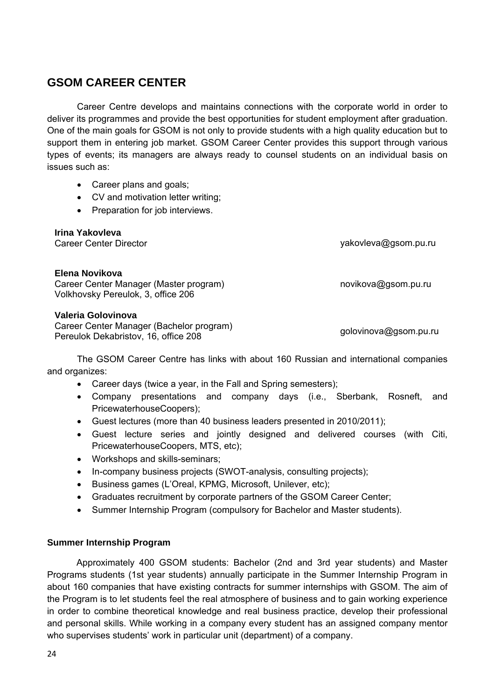# **GSOM CAREER CENTER**

Career Centre develops and maintains connections with the corporate world in order to deliver its programmes and provide the best opportunities for student employment after graduation. One of the main goals for GSOM is not only to provide students with a high quality education but to support them in entering job market. GSOM Career Center provides this support through various types of events; its managers are always ready to counsel students on an individual basis on issues such as:

- Career plans and goals:
- CV and motivation letter writing;
- Preparation for job interviews.

**Irina Yakovleva** 

Career Center Director yakovleva@gsom.pu.ru

novikova@gsom.pu.ru

#### **Elena Novikova**

Career Center Manager (Master program) Volkhovsky Pereulok, 3, office 206

#### **Valeria Golovinova**

Career Center Manager (Bachelor program) Pereulok Dekabristov, 16, office 208 golovinova@gsom.pu.ru

The GSOM Career Centre has links with about 160 Russian and international companies and organizes:

- Career days (twice a year, in the Fall and Spring semesters);
- Company presentations and company days (i.e., Sberbank, Rosneft, and PricewaterhouseCoopers);
- Guest lectures (more than 40 business leaders presented in 2010/2011);
- Guest lecture series and jointly designed and delivered courses (with Citi, PricewaterhouseCoopers, MTS, etc);
- Workshops and skills-seminars;
- In-company business projects (SWOT-analysis, consulting projects);
- Business games (L'Oreal, KPMG, Microsoft, Unilever, etc);
- Graduates recruitment by corporate partners of the GSOM Career Center;
- Summer Internship Program (compulsory for Bachelor and Master students).

#### **Summer Internship Program**

Approximately 400 GSOM students: Bachelor (2nd and 3rd year students) and Master Programs students (1st year students) annually participate in the Summer Internship Program in about 160 companies that have existing contracts for summer internships with GSOM. The aim of the Program is to let students feel the real atmosphere of business and to gain working experience in order to combine theoretical knowledge and real business practice, develop their professional and personal skills. While working in a company every student has an assigned company mentor who supervises students' work in particular unit (department) of a company.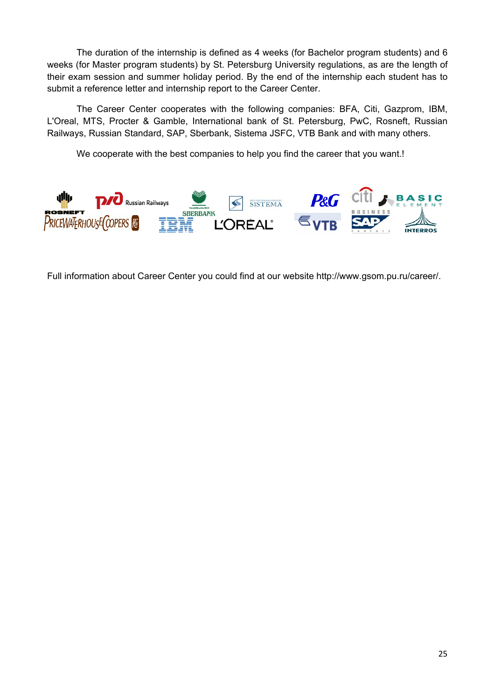The duration of the internship is defined as 4 weeks (for Bachelor program students) and 6 weeks (for Master program students) by St. Petersburg University regulations, as are the length of their exam session and summer holiday period. By the end of the internship each student has to submit a reference letter and internship report to the Career Center.

The Career Center cooperates with the following companies: BFA, Citi, Gazprom, IBM, L'Oreal, MTS, Procter & Gamble, International bank of St. Petersburg, PwC, Rosneft, Russian Railways, Russian Standard, SAP, Sberbank, Sistema JSFC, VTB Bank and with many others.

We cooperate with the best companies to help you find the career that you want.!



Full information about Career Center you could find at our website http://www.gsom.pu.ru/career/.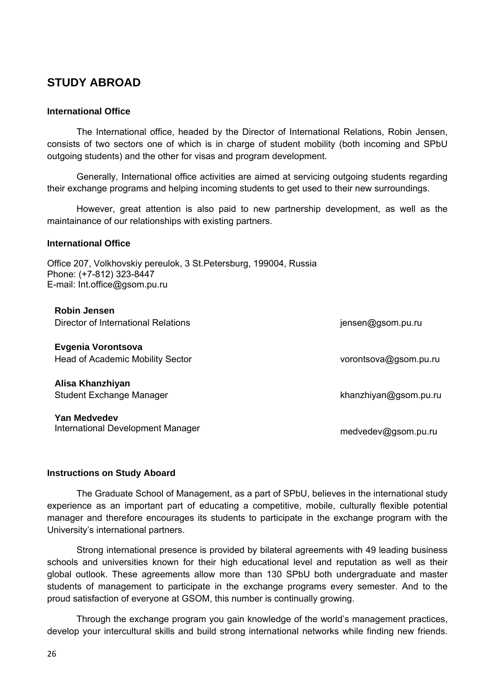# **STUDY ABROAD**

#### **International Office**

The International office, headed by the Director of International Relations, Robin Jensen, consists of two sectors one of which is in charge of student mobility (both incoming and SPbU outgoing students) and the other for visas and program development.

Generally, International office activities are aimed at servicing outgoing students regarding their exchange programs and helping incoming students to get used to their new surroundings.

However, great attention is also paid to new partnership development, as well as the maintainance of our relationships with existing partners.

#### **International Office**

Office 207, Volkhovskiy pereulok, 3 St.Petersburg, 199004, Russia Phone: (+7-812) 323-8447 E-mail: Int.office@gsom.pu.ru

| <b>Robin Jensen</b><br>Director of International Relations    | jensen@gsom.pu.ru     |
|---------------------------------------------------------------|-----------------------|
| Evgenia Vorontsova<br><b>Head of Academic Mobility Sector</b> | vorontsova@gsom.pu.ru |
| Alisa Khanzhiyan<br>Student Exchange Manager                  | khanzhiyan@gsom.pu.ru |
| Yan Medvedev<br>International Development Manager             | medvedev@gsom.pu.ru   |

#### **Instructions on Study Aboard**

The Graduate School of Management, as a part of SPbU, believes in the international study experience as an important part of educating a competitive, mobile, culturally flexible potential manager and therefore encourages its students to participate in the exchange program with the University's international partners.

Strong international presence is provided by bilateral agreements with 49 leading business schools and universities known for their high educational level and reputation as well as their global outlook. These agreements allow more than 130 SPbU both undergraduate and master students of management to participate in the exchange programs every semester. And to the proud satisfaction of everyone at GSOM, this number is continually growing.

Through the exchange program you gain knowledge of the world's management practices, develop your intercultural skills and build strong international networks while finding new friends.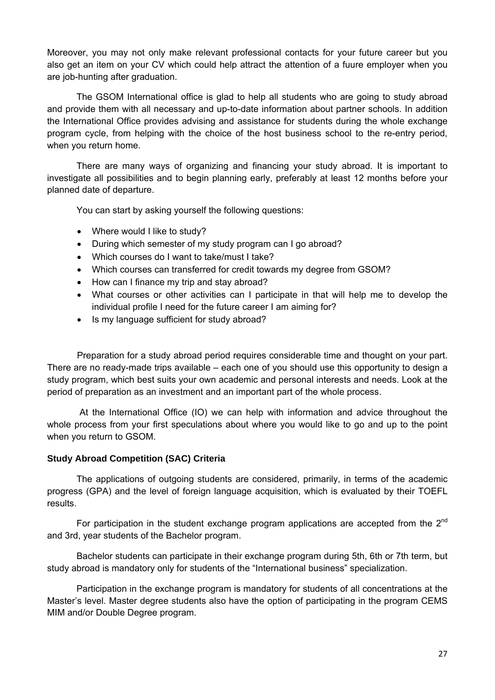Moreover, you may not only make relevant professional contacts for your future career but you also get an item on your CV which could help attract the attention of a fuure employer when you are job-hunting after graduation.

The GSOM International office is glad to help all students who are going to study abroad and provide them with all necessary and up-to-date information about partner schools. In addition the International Office provides advising and assistance for students during the whole exchange program cycle, from helping with the choice of the host business school to the re-entry period, when you return home.

There are many ways of organizing and financing your study abroad. It is important to investigate all possibilities and to begin planning early, preferably at least 12 months before your planned date of departure.

You can start by asking yourself the following questions:

- Where would I like to study?
- During which semester of my study program can I go abroad?
- Which courses do I want to take/must I take?
- Which courses can transferred for credit towards my degree from GSOM?
- How can I finance my trip and stay abroad?
- What courses or other activities can I participate in that will help me to develop the individual profile I need for the future career I am aiming for?
- Is my language sufficient for study abroad?

Preparation for a study abroad period requires considerable time and thought on your part. There are no ready-made trips available – each one of you should use this opportunity to design a study program, which best suits your own academic and personal interests and needs. Look at the period of preparation as an investment and an important part of the whole process.

 At the International Office (IO) we can help with information and advice throughout the whole process from your first speculations about where you would like to go and up to the point when you return to GSOM.

#### **Study Abroad Competition (SAC) Criteria**

The applications of outgoing students are considered, primarily, in terms of the academic progress (GPA) and the level of foreign language acquisition, which is evaluated by their TOEFL results.

For participation in the student exchange program applications are accepted from the 2<sup>nd</sup> and 3rd, year students of the Bachelor program.

Bachelor students can participate in their exchange program during 5th, 6th or 7th term, but study abroad is mandatory only for students of the "International business" specialization.

Participation in the exchange program is mandatory for students of all concentrations at the Master's level. Master degree students also have the option of participating in the program CEMS MIM and/or Double Degree program.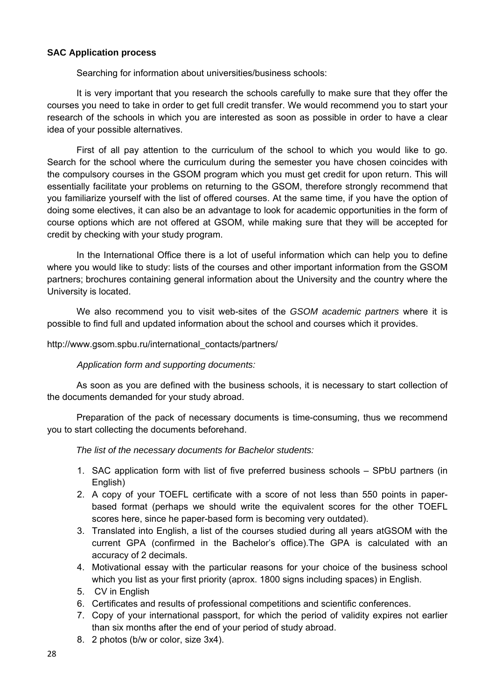#### **SAC Application process**

Searching for information about universities/business schools:

It is very important that you research the schools carefully to make sure that they offer the courses you need to take in order to get full credit transfer. We would recommend you to start your research of the schools in which you are interested as soon as possible in order to have a clear idea of your possible alternatives.

First of all pay attention to the curriculum of the school to which you would like to go. Search for the school where the curriculum during the semester you have chosen coincides with the compulsory courses in the GSOM program which you must get credit for upon return. This will essentially facilitate your problems on returning to the GSOM, therefore strongly recommend that you familiarize yourself with the list of offered courses. At the same time, if you have the option of doing some electives, it can also be an advantage to look for academic opportunities in the form of course options which are not offered at GSOM, while making sure that they will be accepted for credit by checking with your study program.

In the International Office there is a lot of useful information which can help you to define where you would like to study: lists of the courses and other important information from the GSOM partners; brochures containing general information about the University and the country where the University is located.

We also recommend you to visit web-sites of the *GSOM academic partners* where it is possible to find full and updated information about the school and courses which it provides.

#### http://www.gsom.spbu.ru/international\_contacts/partners/

#### *Application form and supporting documents:*

As soon as you are defined with the business schools, it is necessary to start collection of the documents demanded for your study abroad.

Preparation of the pack of necessary documents is time-consuming, thus we recommend you to start collecting the documents beforehand.

*The list of the necessary documents for Bachelor students:* 

- 1. SAC application form with list of five preferred business schools SPbU partners (in English)
- 2. A copy of your TOEFL certificate with a score of not less than 550 points in paperbased format (perhaps we should write the equivalent scores for the other TOEFL scores here, since he paper-based form is becoming very outdated).
- 3. Translated into English, a list of the courses studied during all years atGSOM with the current GPA (confirmed in the Bachelor's office).The GPA is calculated with an accuracy of 2 decimals.
- 4. Motivational essay with the particular reasons for your choice of the business school which you list as your first priority (aprox. 1800 signs including spaces) in English.
- 5. CV in English
- 6. Certificates and results of professional competitions and scientific conferences.
- 7. Copy of your international passport, for which the period of validity expires not earlier than six months after the end of your period of study abroad.
- 8. 2 photos (b/w or color, size 3х4).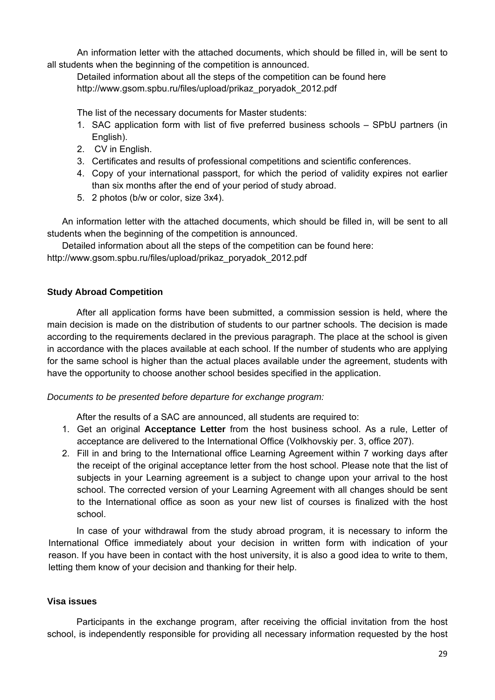An information letter with the attached documents, which should be filled in, will be sent to all students when the beginning of the competition is announced.

Detailed information about all the steps of the competition can be found here http://www.gsom.spbu.ru/files/upload/prikaz\_poryadok\_2012.pdf

The list of the necessary documents for Master students:

- 1. SAC application form with list of five preferred business schools SPbU partners (in English).
- 2. CV in English.
- 3. Certificates and results of professional competitions and scientific conferences.
- 4. Copy of your international passport, for which the period of validity expires not earlier than six months after the end of your period of study abroad.
- 5. 2 photos (b/w or color, size 3х4).

An information letter with the attached documents, which should be filled in, will be sent to all students when the beginning of the competition is announced.

Detailed information about all the steps of the competition can be found here:

http://www.gsom.spbu.ru/files/upload/prikaz\_poryadok\_2012.pdf

#### **Study Abroad Competition**

After all application forms have been submitted, a commission session is held, where the main decision is made on the distribution of students to our partner schools. The decision is made according to the requirements declared in the previous paragraph. The place at the school is given in accordance with the places available at each school. If the number of students who are applying for the same school is higher than the actual places available under the agreement, students with have the opportunity to choose another school besides specified in the application.

#### *Documents to be presented before departure for exchange program:*

After the results of a SAC are announced, all students are required to:

- 1. Get an original **Acceptance Letter** from the host business school. As a rule, Letter of acceptance are delivered to the International Office (Volkhovskiy per. 3, office 207).
- 2. Fill in and bring to the International office Learning Agreement within 7 working days after the receipt of the original acceptance letter from the host school. Please note that the list of subjects in your Learning agreement is a subject to change upon your arrival to the host school. The corrected version of your Learning Agreement with all changes should be sent to the International office as soon as your new list of courses is finalized with the host school.

In case of your withdrawal from the study abroad program, it is necessary to inform the International Office immediately about your decision in written form with indication of your reason. If you have been in contact with the host university, it is also a good idea to write to them, letting them know of your decision and thanking for their help.

#### **Visa issues**

Participants in the exchange program, after receiving the official invitation from the host school, is independently responsible for providing all necessary information requested by the host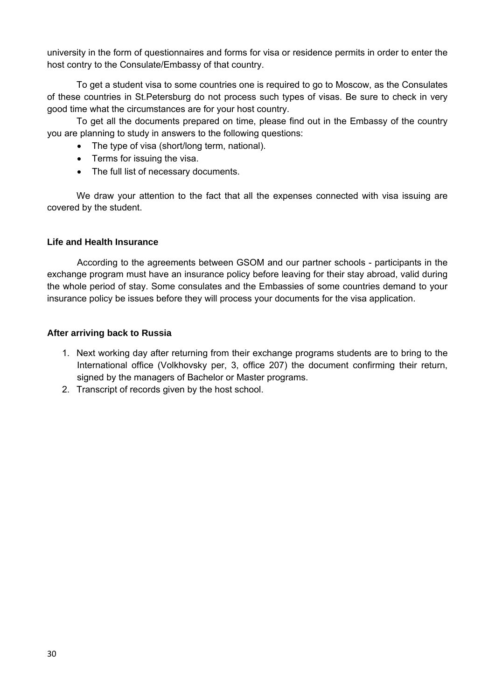university in the form of questionnaires and forms for visa or residence permits in order to enter the host contry to the Consulate/Embassy of that country.

To get a student visa to some countries one is required to go to Moscow, as the Consulates of these countries in St.Petersburg do not process such types of visas. Be sure to check in very good time what the circumstances are for your host country.

To get all the documents prepared on time, please find out in the Embassy of the country you are planning to study in answers to the following questions:

- The type of visa (short/long term, national).
- Terms for issuing the visa.
- The full list of necessary documents.

We draw your attention to the fact that all the expenses connected with visa issuing are covered by the student.

#### **Life and Health Insurance**

According to the agreements between GSOM and our partner schools - participants in the exchange program must have an insurance policy before leaving for their stay abroad, valid during the whole period of stay. Some consulates and the Embassies of some countries demand to your insurance policy be issues before they will process your documents for the visa application.

#### **After arriving back to Russia**

- 1. Next working day after returning from their exchange programs students are to bring to the International office (Volkhovsky per, 3, office 207) the document confirming their return, signed by the managers of Bachelor or Master programs.
- 2. Transcript of records given by the host school.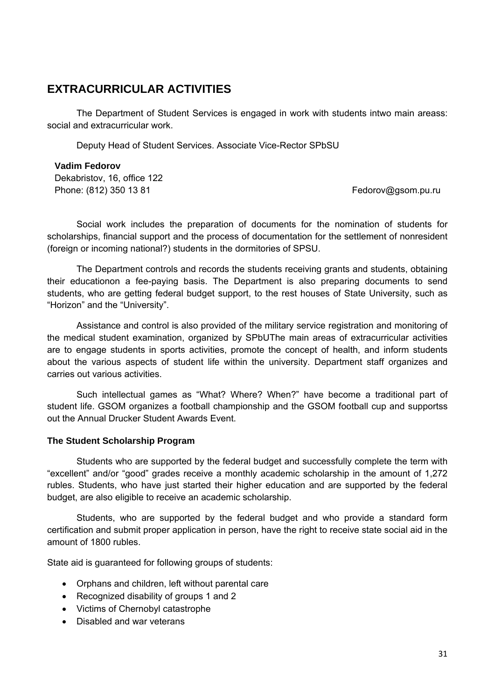# **EXTRACURRICULAR ACTIVITIES**

The Department of Student Services is engaged in work with students intwo main areass: social and extracurricular work.

Deputy Head of Student Services. Associate Vice-Rector SPbSU

#### **Vadim Fedorov**  Dekabristov, 16, office 122 Phone: (812) 350 13 81 Fedorov@gsom.pu.ru

Social work includes the preparation of documents for the nomination of students for scholarships, financial support and the process of documentation for the settlement of nonresident (foreign or incoming national?) students in the dormitories of SPSU.

The Department controls and records the students receiving grants and students, obtaining their educationon a fee-paying basis. The Department is also preparing documents to send students, who are getting federal budget support, to the rest houses of State University, such as "Horizon" and the "University".

Assistance and control is also provided of the military service registration and monitoring of the medical student examination, organized by SPbUThe main areas of extracurricular activities are to engage students in sports activities, promote the concept of health, and inform students about the various aspects of student life within the university. Department staff organizes and carries out various activities.

Such intellectual games as "What? Where? When?" have become a traditional part of student life. GSOM organizes a football championship and the GSOM football cup and supportss out the Annual Drucker Student Awards Event.

#### **The Student Scholarship Program**

Students who are supported by the federal budget and successfully complete the term with "excellent" and/or "good" grades receive a monthly academic scholarship in the amount of 1,272 rubles. Students, who have just started their higher education and are supported by the federal budget, are also eligible to receive an academic scholarship.

Students, who are supported by the federal budget and who provide a standard form certification and submit proper application in person, have the right to receive state social aid in the amount of 1800 rubles.

State aid is guaranteed for following groups of students:

- Orphans and children, left without parental care
- Recognized disability of groups 1 and 2
- Victims of Chernobyl catastrophe
- Disabled and war veterans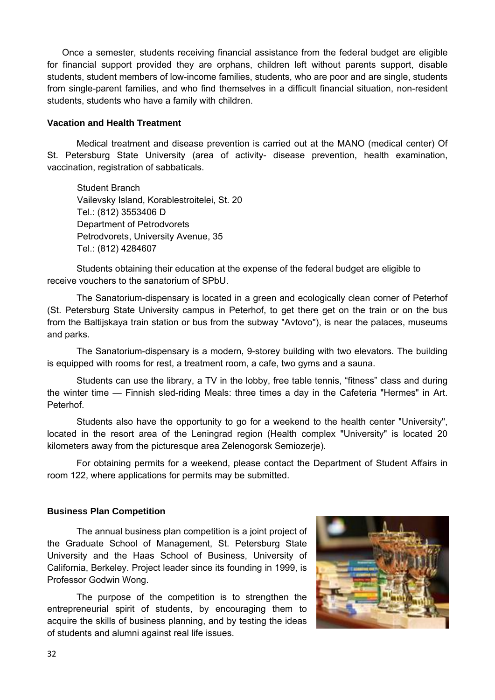Once a semester, students receiving financial assistance from the federal budget are eligible for financial support provided they are orphans, children left without parents support, disable students, student members of low-income families, students, who are poor and are single, students from single-parent families, and who find themselves in a difficult financial situation, non-resident students, students who have a family with children.

#### **Vacation and Health Treatment**

Medical treatment and disease prevention is carried out at the MANO (medical center) Of St. Petersburg State University (area of activity- disease prevention, health examination, vaccination, registration of sabbaticals.

Student Branch Vailevsky Island, Korablestroitelei, St. 20 Tel.: (812) 3553406 D Department of Petrodvorets Petrodvorets, University Avenue, 35 Tel.: (812) 4284607

Students obtaining their education at the expense of the federal budget are eligible to receive vouchers to the sanatorium of SPbU.

The Sanatorium-dispensary is located in a green and ecologically clean corner of Peterhof (St. Petersburg State University campus in Peterhof, to get there get on the train or on the bus from the Baltijskaya train station or bus from the subway "Avtovo"), is near the palaces, museums and parks.

The Sanatorium-dispensary is a modern, 9-storey building with two elevators. The building is equipped with rooms for rest, a treatment room, a cafe, two gyms and a sauna.

Students can use the library, a TV in the lobby, free table tennis, "fitness" class and during the winter time — Finnish sled-riding Meals: three times a day in the Cafeteria "Hermes" in Art. Peterhof.

Students also have the opportunity to go for a weekend to the health center "University", located in the resort area of the Leningrad region (Health complex "University" is located 20 kilometers away from the picturesque area Zelenogorsk Semiozerje).

For obtaining permits for a weekend, please contact the Department of Student Affairs in room 122, where applications for permits may be submitted.

#### **Business Plan Competition**

The annual business plan competition is a joint project of the Graduate School of Management, St. Petersburg State University and the Haas School of Business, University of California, Berkeley. Project leader since its founding in 1999, is Professor Godwin Wong.

The purpose of the competition is to strengthen the entrepreneurial spirit of students, by encouraging them to acquire the skills of business planning, and by testing the ideas of students and alumni against real life issues.

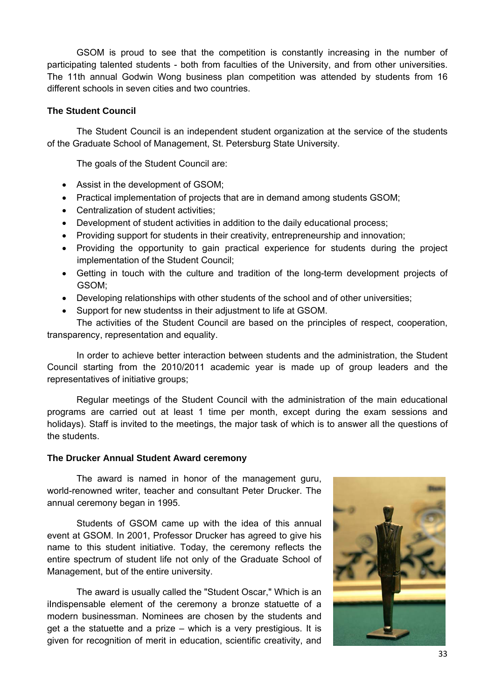GSOM is proud to see that the competition is constantly increasing in the number of participating talented students - both from faculties of the University, and from other universities. The 11th annual Godwin Wong business plan competition was attended by students from 16 different schools in seven cities and two countries.

#### **The Student Council**

The Student Council is an independent student organization at the service of the students of the Graduate School of Management, St. Petersburg State University.

The goals of the Student Council are:

- Assist in the development of GSOM;
- Practical implementation of projects that are in demand among students GSOM;
- Centralization of student activities;
- Development of student activities in addition to the daily educational process;
- Рroviding support for students in their creativity, entrepreneurship and innovation;
- Рroviding the opportunity to gain practical experience for students during the project implementation of the Student Council;
- Getting in touch with the culture and tradition of the long-term development projects of GSOM;
- Developing relationships with other students of the school and of other universities;
- Support for new studentss in their adjustment to life at GSOM.

The activities of the Student Council are based on the principles of respect, cooperation, transparency, representation and equality.

In order to achieve better interaction between students and the administration, the Student Council starting from the 2010/2011 academic year is made up of group leaders and the representatives of initiative groups;

Regular meetings of the Student Council with the administration of the main educational programs are carried out at least 1 time per month, except during the exam sessions and holidays). Staff is invited to the meetings, the major task of which is to answer all the questions of the students.

#### **The Drucker Annual Student Award ceremony**

The award is named in honor of the management guru, world-renowned writer, teacher and consultant Peter Drucker. The annual ceremony began in 1995.

Students of GSOM came up with the idea of this annual event at GSOM. In 2001, Professor Drucker has agreed to give his name to this student initiative. Today, the ceremony reflects the entire spectrum of student life not only of the Graduate School of Management, but of the entire university.

The award is usually called the "Student Oscar," Which is an iIndispensable element of the ceremony a bronze statuette of a modern businessman. Nominees are chosen by the students and get a the statuette and a prize – which is a very prestigious. It is given for recognition of merit in education, scientific creativity, and